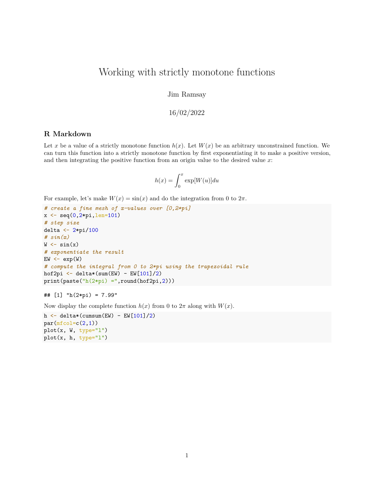## Working with strictly monotone functions

Jim Ramsay

## 16/02/2022

## **R Markdown**

Let x be a value of a strictly monotone function  $h(x)$ . Let  $W(x)$  be an arbitrary unconstrained function. We can turn this function into a strictly monotone function by first exponentiating it to make a positive version, and then integrating the positive function from an origin value to the desired value *x*:

$$
h(x) = \int_0^x \exp[W(u)] du
$$

For example, let's make  $W(x) = \sin(x)$  and do the integration from 0 to  $2\pi$ .

```
# create a fine mesh of x-values over [0,2*pi]
x \leftarrow \text{seq}(0, 2 \cdot \text{pi}, \text{len=101})# step size
delta <- 2*pi/100
# sin(x)
W \leftarrow \sin(x)# exponentiate the result
EW < - exp(W)# compute the integral from 0 to 2*pi using the trapezoidal rule
hof2pi \leftarrow delta*(sum(EW) - EW[101]/2)
print(paste("h(2*pi) =", round(hof2pi,2)))
```

```
## [1] "h(2*pi) = 7.99"
```
Now display the complete function  $h(x)$  from 0 to  $2\pi$  along with  $W(x)$ .

```
h \leftarrow delta*(cumsum(EW) - EW[101]/2)
par(mfcol=c(2,1))plot(x, W, type="1")plot(x, h, type="l")
```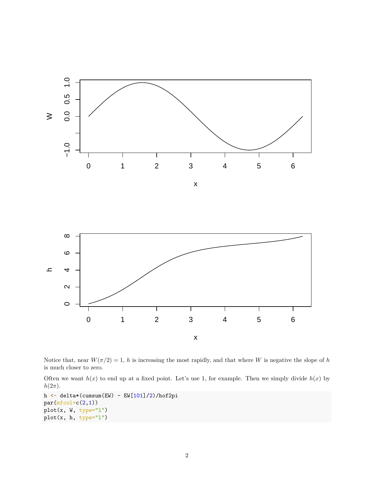



Notice that, near  $W(\pi/2) = 1$ , *h* is increasing the most rapidly, and that where *W* is negative the slope of *h* is much closer to zero.

Often we want  $h(x)$  to end up at a fixed point. Let's use 1, for example. Then we simply divide  $h(x)$  by  $h(2\pi)$ .

```
h <- delta*(cumsum(EW) - EW[101]/2)/hof2pi
par(mfcol=c(2,1))plot(x, W, type="l")
plot(x, h, type="l")
```